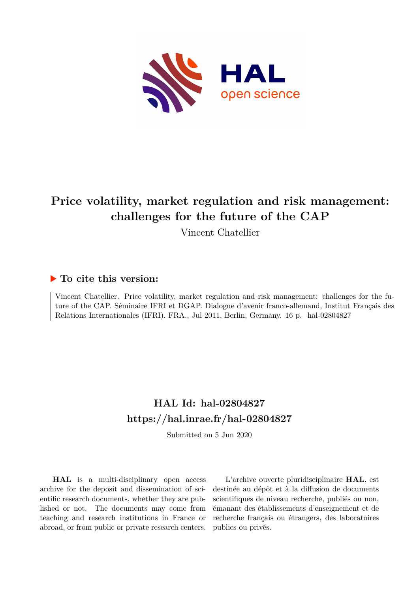

# **Price volatility, market regulation and risk management: challenges for the future of the CAP**

Vincent Chatellier

# **To cite this version:**

Vincent Chatellier. Price volatility, market regulation and risk management: challenges for the future of the CAP. Séminaire IFRI et DGAP. Dialogue d'avenir franco-allemand, Institut Français des Relations Internationales (IFRI). FRA., Jul 2011, Berlin, Germany. 16 p. hal-02804827

# **HAL Id: hal-02804827 <https://hal.inrae.fr/hal-02804827>**

Submitted on 5 Jun 2020

**HAL** is a multi-disciplinary open access archive for the deposit and dissemination of scientific research documents, whether they are published or not. The documents may come from teaching and research institutions in France or abroad, or from public or private research centers.

L'archive ouverte pluridisciplinaire **HAL**, est destinée au dépôt et à la diffusion de documents scientifiques de niveau recherche, publiés ou non, émanant des établissements d'enseignement et de recherche français ou étrangers, des laboratoires publics ou privés.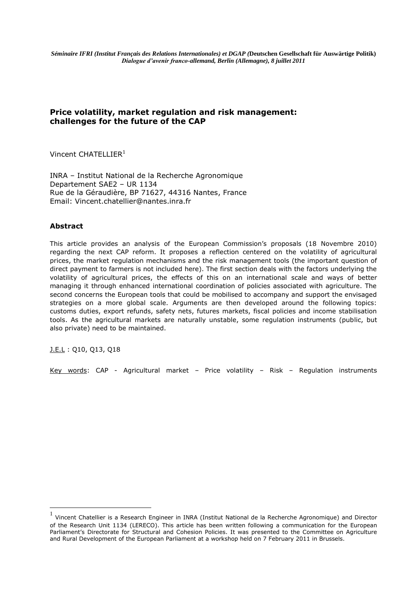*Séminaire IFRI (Institut Français des Relations Internationales) et DGAP (***Deutschen Gesellschaft für Auswärtige Politik)** *Dialogue d'avenir franco-allemand, Berlin (Allemagne), 8 juillet 2011*

# **Price volatility, market regulation and risk management: challenges for the future of the CAP**

Vincent CHATELLIER<sup>1</sup>

INRA – Institut National de la Recherche Agronomique Departement SAE2 – UR 1134 Rue de la Géraudière, BP 71627, 44316 Nantes, France Email: Vincent.chatellier@nantes.inra.fr

### **Abstract**

This article provides an analysis of the European Commission's proposals (18 Novembre 2010) regarding the next CAP reform. It proposes a reflection centered on the volatility of agricultural prices, the market regulation mechanisms and the risk management tools (the important question of direct payment to farmers is not included here). The first section deals with the factors underlying the volatility of agricultural prices, the effects of this on an international scale and ways of better managing it through enhanced international coordination of policies associated with agriculture. The second concerns the European tools that could be mobilised to accompany and support the envisaged strategies on a more global scale. Arguments are then developed around the following topics: customs duties, export refunds, safety nets, futures markets, fiscal policies and income stabilisation tools. As the agricultural markets are naturally unstable, some regulation instruments (public, but also private) need to be maintained.

J.E.L : Q10, Q13, Q18

 $\overline{a}$ 

Key words: CAP - Agricultural market – Price volatility – Risk – Regulation instruments

<sup>1</sup> Vincent Chatellier is a Research Engineer in INRA (Institut National de la Recherche Agronomique) and Director of the Research Unit 1134 (LERECO). This article has been written following a communication for the European Parliament's Directorate for Structural and Cohesion Policies. It was presented to the Committee on Agriculture and Rural Development of the European Parliament at a workshop held on 7 February 2011 in Brussels.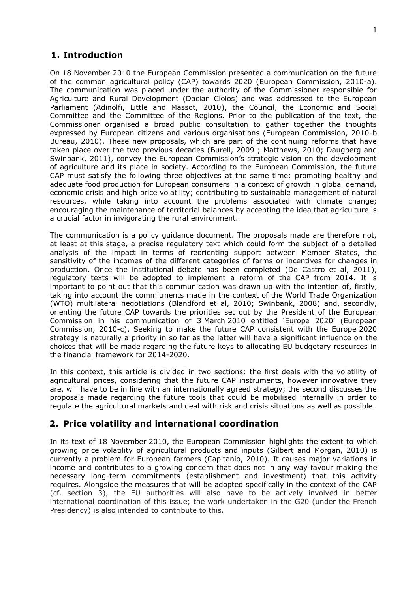# **1. Introduction**

On 18 November 2010 the European Commission presented a communication on the future of the common agricultural policy (CAP) towards 2020 (European Commission, 2010-a). The communication was placed under the authority of the Commissioner responsible for Agriculture and Rural Development (Dacian Ciolos) and was addressed to the European Parliament (Adinolfi, Little and Massot, 2010), the Council, the Economic and Social Committee and the Committee of the Regions. Prior to the publication of the text, the Commissioner organised a broad public consultation to gather together the thoughts expressed by European citizens and various organisations (European Commission, 2010-b Bureau, 2010). These new proposals, which are part of the continuing reforms that have taken place over the two previous decades (Burell, 2009 ; Matthews, 2010; Daugberg and Swinbank, 2011), convey the European Commission's strategic vision on the development of agriculture and its place in society. According to the European Commission, the future CAP must satisfy the following three objectives at the same time: promoting healthy and adequate food production for European consumers in a context of growth in global demand, economic crisis and high price volatility; contributing to sustainable management of natural resources, while taking into account the problems associated with climate change; encouraging the maintenance of territorial balances by accepting the idea that agriculture is a crucial factor in invigorating the rural environment.

The communication is a policy guidance document. The proposals made are therefore not, at least at this stage, a precise regulatory text which could form the subject of a detailed analysis of the impact in terms of reorienting support between Member States, the sensitivity of the incomes of the different categories of farms or incentives for changes in production. Once the institutional debate has been completed (De Castro et al, 2011), regulatory texts will be adopted to implement a reform of the CAP from 2014. It is important to point out that this communication was drawn up with the intention of, firstly, taking into account the commitments made in the context of the World Trade Organization (WTO) multilateral negotiations (Blandford et al, 2010; Swinbank, 2008) and, secondly, orienting the future CAP towards the priorities set out by the President of the European Commission in his communication of 3 March 2010 entitled 'Europe 2020' (European Commission, 2010-c). Seeking to make the future CAP consistent with the Europe 2020 strategy is naturally a priority in so far as the latter will have a significant influence on the choices that will be made regarding the future keys to allocating EU budgetary resources in the financial framework for 2014-2020.

In this context, this article is divided in two sections: the first deals with the volatility of agricultural prices, considering that the future CAP instruments, however innovative they are, will have to be in line with an internationally agreed strategy; the second discusses the proposals made regarding the future tools that could be mobilised internally in order to regulate the agricultural markets and deal with risk and crisis situations as well as possible.

# **2. Price volatility and international coordination**

In its text of 18 November 2010, the European Commission highlights the extent to which growing price volatility of agricultural products and inputs (Gilbert and Morgan, 2010) is currently a problem for European farmers (Capitanio, 2010). It causes major variations in income and contributes to a growing concern that does not in any way favour making the necessary long-term commitments (establishment and investment) that this activity requires. Alongside the measures that will be adopted specifically in the context of the CAP (cf. section 3), the EU authorities will also have to be actively involved in better international coordination of this issue; the work undertaken in the G20 (under the French Presidency) is also intended to contribute to this.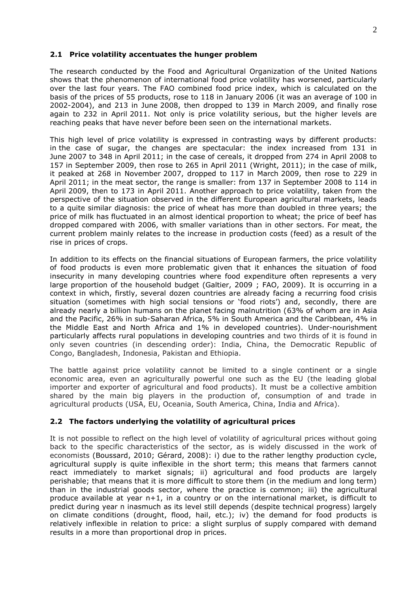### **2.1 Price volatility accentuates the hunger problem**

The research conducted by the Food and Agricultural Organization of the United Nations shows that the phenomenon of international food price volatility has worsened, particularly over the last four years. The FAO combined food price index, which is calculated on the basis of the prices of 55 products, rose to 118 in January 2006 (it was an average of 100 in 2002-2004), and 213 in June 2008, then dropped to 139 in March 2009, and finally rose again to 232 in April 2011. Not only is price volatility serious, but the higher levels are reaching peaks that have never before been seen on the international markets.

This high level of price volatility is expressed in contrasting ways by different products: in the case of sugar, the changes are spectacular: the index increased from 131 in June 2007 to 348 in April 2011; in the case of cereals, it dropped from 274 in April 2008 to 157 in September 2009, then rose to 265 in April 2011 (Wright, 2011); in the case of milk, it peaked at 268 in November 2007, dropped to 117 in March 2009, then rose to 229 in April 2011; in the meat sector, the range is smaller: from 137 in September 2008 to 114 in April 2009, then to 173 in April 2011. Another approach to price volatility, taken from the perspective of the situation observed in the different European agricultural markets, leads to a quite similar diagnosis: the price of wheat has more than doubled in three years; the price of milk has fluctuated in an almost identical proportion to wheat; the price of beef has dropped compared with 2006, with smaller variations than in other sectors. For meat, the current problem mainly relates to the increase in production costs (feed) as a result of the rise in prices of crops.

In addition to its effects on the financial situations of European farmers, the price volatility of food products is even more problematic given that it enhances the situation of food insecurity in many developing countries where food expenditure often represents a very large proportion of the household budget (Galtier, 2009 ; FAO, 2009). It is occurring in a context in which, firstly, several dozen countries are already facing a recurring food crisis situation (sometimes with high social tensions or 'food riots') and, secondly, there are already nearly a billion humans on the planet facing malnutrition (63% of whom are in Asia and the Pacific, 26% in sub-Saharan Africa, 5% in South America and the Caribbean, 4% in the Middle East and North Africa and 1% in developed countries). Under-nourishment particularly affects rural populations in developing countries and two thirds of it is found in only seven countries (in descending order): India, China, the Democratic Republic of Congo, Bangladesh, Indonesia, Pakistan and Ethiopia.

The battle against price volatility cannot be limited to a single continent or a single economic area, even an agriculturally powerful one such as the EU (the leading global importer and exporter of agricultural and food products). It must be a collective ambition shared by the main big players in the production of, consumption of and trade in agricultural products (USA, EU, Oceania, South America, China, India and Africa).

# **2.2 The factors underlying the volatility of agricultural prices**

It is not possible to reflect on the high level of volatility of agricultural prices without going back to the specific characteristics of the sector, as is widely discussed in the work of economists (Boussard, 2010; Gérard, 2008): i) due to the rather lengthy production cycle, agricultural supply is quite inflexible in the short term; this means that farmers cannot react immediately to market signals; ii) agricultural and food products are largely perishable; that means that it is more difficult to store them (in the medium and long term) than in the industrial goods sector, where the practice is common; iii) the agricultural produce available at year n+1, in a country or on the international market, is difficult to predict during year n inasmuch as its level still depends (despite technical progress) largely on climate conditions (drought, flood, hail, etc.); iv) the demand for food products is relatively inflexible in relation to price: a slight surplus of supply compared with demand results in a more than proportional drop in prices.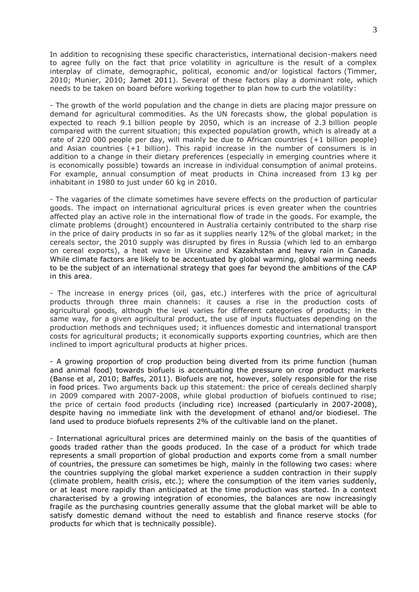In addition to recognising these specific characteristics, international decision-makers need to agree fully on the fact that price volatility in agriculture is the result of a complex interplay of climate, demographic, political, economic and/or logistical factors (Timmer, 2010; Munier, 2010; Jamet 2011). Several of these factors play a dominant role, which needs to be taken on board before working together to plan how to curb the volatility:

- The growth of the world population and the change in diets are placing major pressure on demand for agricultural commodities. As the UN forecasts show, the global population is expected to reach 9.1 billion people by 2050, which is an increase of 2.3 billion people compared with the current situation; this expected population growth, which is already at a rate of 220 000 people per day, will mainly be due to African countries (+1 billion people) and Asian countries (+1 billion). This rapid increase in the number of consumers is in addition to a change in their dietary preferences (especially in emerging countries where it is economically possible) towards an increase in individual consumption of animal proteins. For example, annual consumption of meat products in China increased from 13 kg per inhabitant in 1980 to just under 60 kg in 2010.

- The vagaries of the climate sometimes have severe effects on the production of particular goods. The impact on international agricultural prices is even greater when the countries affected play an active role in the international flow of trade in the goods. For example, the climate problems (drought) encountered in Australia certainly contributed to the sharp rise in the price of dairy products in so far as it supplies nearly 12% of the global market; in the cereals sector, the 2010 supply was disrupted by fires in Russia (which led to an embargo on cereal exports), a heat wave in Ukraine and Kazakhstan and heavy rain in Canada. While climate factors are likely to be accentuated by global warming, global warming needs to be the subject of an international strategy that goes far beyond the ambitions of the CAP in this area.

- The increase in energy prices (oil, gas, etc.) interferes with the price of agricultural products through three main channels: it causes a rise in the production costs of agricultural goods, although the level varies for different categories of products; in the same way, for a given agricultural product, the use of inputs fluctuates depending on the production methods and techniques used; it influences domestic and international transport costs for agricultural products; it economically supports exporting countries, which are then inclined to import agricultural products at higher prices.

- A growing proportion of crop production being diverted from its prime function (human and animal food) towards biofuels is accentuating the pressure on crop product markets (Banse et al, 2010; Baffes, 2011). Biofuels are not, however, solely responsible for the rise in food prices. Two arguments back up this statement: the price of cereals declined sharply in 2009 compared with 2007-2008, while global production of biofuels continued to rise; the price of certain food products (including rice) increased (particularly in 2007-2008), despite having no immediate link with the development of ethanol and/or biodiesel. The land used to produce biofuels represents 2% of the cultivable land on the planet.

- International agricultural prices are determined mainly on the basis of the quantities of goods traded rather than the goods produced. In the case of a product for which trade represents a small proportion of global production and exports come from a small number of countries, the pressure can sometimes be high, mainly in the following two cases: where the countries supplying the global market experience a sudden contraction in their supply (climate problem, health crisis, etc.); where the consumption of the item varies suddenly, or at least more rapidly than anticipated at the time production was started. In a context characterised by a growing integration of economies, the balances are now increasingly fragile as the purchasing countries generally assume that the global market will be able to satisfy domestic demand without the need to establish and finance reserve stocks (for products for which that is technically possible).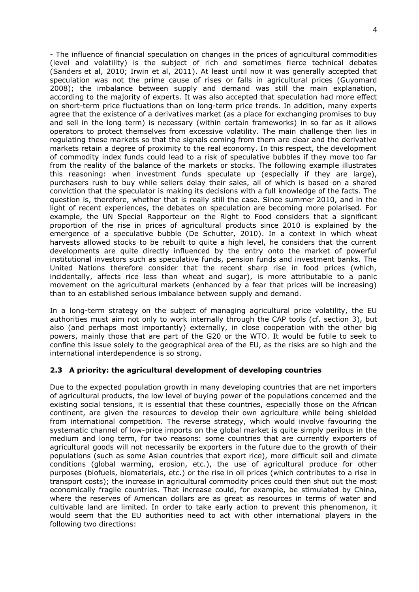- The influence of financial speculation on changes in the prices of agricultural commodities (level and volatility) is the subject of rich and sometimes fierce technical debates (Sanders et al, 2010; Irwin et al, 2011). At least until now it was generally accepted that speculation was not the prime cause of rises or falls in agricultural prices (Guyomard 2008); the imbalance between supply and demand was still the main explanation, according to the majority of experts. It was also accepted that speculation had more effect on short-term price fluctuations than on long-term price trends. In addition, many experts agree that the existence of a derivatives market (as a place for exchanging promises to buy and sell in the long term) is necessary (within certain frameworks) in so far as it allows operators to protect themselves from excessive volatility. The main challenge then lies in regulating these markets so that the signals coming from them are clear and the derivative markets retain a degree of proximity to the real economy. In this respect, the development of commodity index funds could lead to a risk of speculative bubbles if they move too far from the reality of the balance of the markets or stocks. The following example illustrates this reasoning: when investment funds speculate up (especially if they are large), purchasers rush to buy while sellers delay their sales, all of which is based on a shared conviction that the speculator is making its decisions with a full knowledge of the facts. The question is, therefore, whether that is really still the case. Since summer 2010, and in the light of recent experiences, the debates on speculation are becoming more polarised. For example, the UN Special Rapporteur on the Right to Food considers that a significant proportion of the rise in prices of agricultural products since 2010 is explained by the emergence of a speculative bubble (De Schutter, 2010). In a context in which wheat harvests allowed stocks to be rebuilt to quite a high level, he considers that the current developments are quite directly influenced by the entry onto the market of powerful institutional investors such as speculative funds, pension funds and investment banks. The United Nations therefore consider that the recent sharp rise in food prices (which, incidentally, affects rice less than wheat and sugar), is more attributable to a panic movement on the agricultural markets (enhanced by a fear that prices will be increasing) than to an established serious imbalance between supply and demand.

In a long-term strategy on the subject of managing agricultural price volatility, the EU authorities must aim not only to work internally through the CAP tools (cf. section 3), but also (and perhaps most importantly) externally, in close cooperation with the other big powers, mainly those that are part of the G20 or the WTO. It would be futile to seek to confine this issue solely to the geographical area of the EU, as the risks are so high and the international interdependence is so strong.

# **2.3 A priority: the agricultural development of developing countries**

Due to the expected population growth in many developing countries that are net importers of agricultural products, the low level of buying power of the populations concerned and the existing social tensions, it is essential that these countries, especially those on the African continent, are given the resources to develop their own agriculture while being shielded from international competition. The reverse strategy, which would involve favouring the systematic channel of low-price imports on the global market is quite simply perilous in the medium and long term, for two reasons: some countries that are currently exporters of agricultural goods will not necessarily be exporters in the future due to the growth of their populations (such as some Asian countries that export rice), more difficult soil and climate conditions (global warming, erosion, etc.), the use of agricultural produce for other purposes (biofuels, biomaterials, etc.) or the rise in oil prices (which contributes to a rise in transport costs); the increase in agricultural commodity prices could then shut out the most economically fragile countries. That increase could, for example, be stimulated by China, where the reserves of American dollars are as great as resources in terms of water and cultivable land are limited. In order to take early action to prevent this phenomenon, it would seem that the EU authorities need to act with other international players in the following two directions: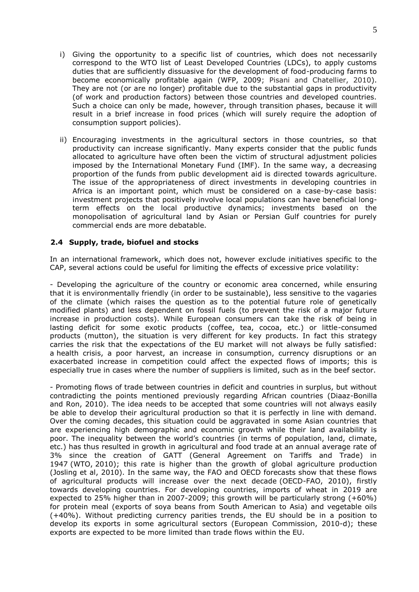- i) Giving the opportunity to a specific list of countries, which does not necessarily correspond to the WTO list of Least Developed Countries (LDCs), to apply customs duties that are sufficiently dissuasive for the development of food-producing farms to become economically profitable again (WFP, 2009; Pisani and Chatellier, 2010). They are not (or are no longer) profitable due to the substantial gaps in productivity (of work and production factors) between those countries and developed countries. Such a choice can only be made, however, through transition phases, because it will result in a brief increase in food prices (which will surely require the adoption of consumption support policies).
- ii) Encouraging investments in the agricultural sectors in those countries, so that productivity can increase significantly. Many experts consider that the public funds allocated to agriculture have often been the victim of structural adjustment policies imposed by the International Monetary Fund (IMF). In the same way, a decreasing proportion of the funds from public development aid is directed towards agriculture. The issue of the appropriateness of direct investments in developing countries in Africa is an important point, which must be considered on a case-by-case basis: investment projects that positively involve local populations can have beneficial longterm effects on the local productive dynamics; investments based on the monopolisation of agricultural land by Asian or Persian Gulf countries for purely commercial ends are more debatable.

# **2.4 Supply, trade, biofuel and stocks**

In an international framework, which does not, however exclude initiatives specific to the CAP, several actions could be useful for limiting the effects of excessive price volatility:

- Developing the agriculture of the country or economic area concerned, while ensuring that it is environmentally friendly (in order to be sustainable), less sensitive to the vagaries of the climate (which raises the question as to the potential future role of genetically modified plants) and less dependent on fossil fuels (to prevent the risk of a major future increase in production costs). While European consumers can take the risk of being in lasting deficit for some exotic products (coffee, tea, cocoa, etc.) or little-consumed products (mutton), the situation is very different for key products. In fact this strategy carries the risk that the expectations of the EU market will not always be fully satisfied: a health crisis, a poor harvest, an increase in consumption, currency disruptions or an exacerbated increase in competition could affect the expected flows of imports; this is especially true in cases where the number of suppliers is limited, such as in the beef sector.

- Promoting flows of trade between countries in deficit and countries in surplus, but without contradicting the points mentioned previously regarding African countries (Diaaz-Bonilla and Ron, 2010). The idea needs to be accepted that some countries will not always easily be able to develop their agricultural production so that it is perfectly in line with demand. Over the coming decades, this situation could be aggravated in some Asian countries that are experiencing high demographic and economic growth while their land availability is poor. The inequality between the world's countries (in terms of population, land, climate, etc.) has thus resulted in growth in agricultural and food trade at an annual average rate of 3% since the creation of GATT (General Agreement on Tariffs and Trade) in 1947 (WTO, 2010); this rate is higher than the growth of global agriculture production (Josling et al, 2010). In the same way, the FAO and OECD forecasts show that these flows of agricultural products will increase over the next decade (OECD-FAO, 2010), firstly towards developing countries. For developing countries, imports of wheat in 2019 are expected to 25% higher than in 2007-2009; this growth will be particularly strong (+60%) for protein meal (exports of soya beans from South American to Asia) and vegetable oils (+40%). Without predicting currency parities trends, the EU should be in a position to develop its exports in some agricultural sectors (European Commission, 2010-d); these exports are expected to be more limited than trade flows within the EU.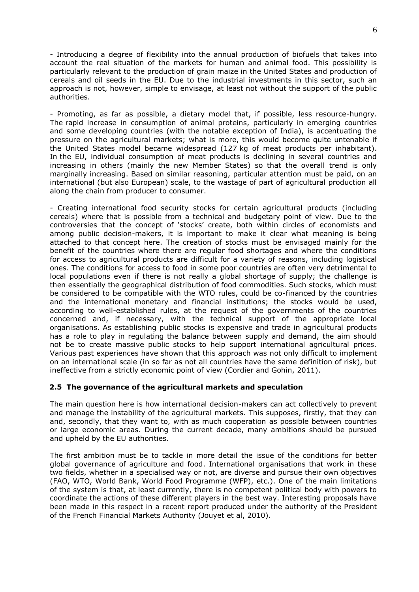- Introducing a degree of flexibility into the annual production of biofuels that takes into account the real situation of the markets for human and animal food. This possibility is particularly relevant to the production of grain maize in the United States and production of cereals and oil seeds in the EU. Due to the industrial investments in this sector, such an approach is not, however, simple to envisage, at least not without the support of the public authorities.

- Promoting, as far as possible, a dietary model that, if possible, less resource-hungry. The rapid increase in consumption of animal proteins, particularly in emerging countries and some developing countries (with the notable exception of India), is accentuating the pressure on the agricultural markets; what is more, this would become quite untenable if the United States model became widespread (127 kg of meat products per inhabitant). In the EU, individual consumption of meat products is declining in several countries and increasing in others (mainly the new Member States) so that the overall trend is only marginally increasing. Based on similar reasoning, particular attention must be paid, on an international (but also European) scale, to the wastage of part of agricultural production all along the chain from producer to consumer.

- Creating international food security stocks for certain agricultural products (including cereals) where that is possible from a technical and budgetary point of view. Due to the controversies that the concept of 'stocks' create, both within circles of economists and among public decision-makers, it is important to make it clear what meaning is being attached to that concept here. The creation of stocks must be envisaged mainly for the benefit of the countries where there are regular food shortages and where the conditions for access to agricultural products are difficult for a variety of reasons, including logistical ones. The conditions for access to food in some poor countries are often very detrimental to local populations even if there is not really a global shortage of supply; the challenge is then essentially the geographical distribution of food commodities. Such stocks, which must be considered to be compatible with the WTO rules, could be co-financed by the countries and the international monetary and financial institutions; the stocks would be used, according to well-established rules, at the request of the governments of the countries concerned and, if necessary, with the technical support of the appropriate local organisations. As establishing public stocks is expensive and trade in agricultural products has a role to play in regulating the balance between supply and demand, the aim should not be to create massive public stocks to help support international agricultural prices. Various past experiences have shown that this approach was not only difficult to implement on an international scale (in so far as not all countries have the same definition of risk), but ineffective from a strictly economic point of view (Cordier and Gohin, 2011).

# **2.5 The governance of the agricultural markets and speculation**

The main question here is how international decision-makers can act collectively to prevent and manage the instability of the agricultural markets. This supposes, firstly, that they can and, secondly, that they want to, with as much cooperation as possible between countries or large economic areas. During the current decade, many ambitions should be pursued and upheld by the EU authorities.

The first ambition must be to tackle in more detail the issue of the conditions for better global governance of agriculture and food. International organisations that work in these two fields, whether in a specialised way or not, are diverse and pursue their own objectives (FAO, WTO, World Bank, World Food Programme (WFP), etc.). One of the main limitations of the system is that, at least currently, there is no competent political body with powers to coordinate the actions of these different players in the best way. Interesting proposals have been made in this respect in a recent report produced under the authority of the President of the French Financial Markets Authority (Jouyet et al, 2010).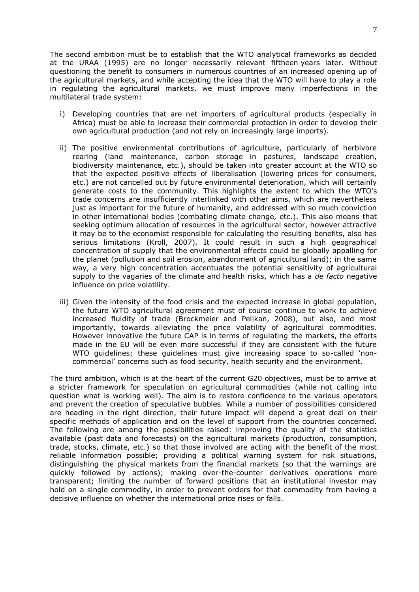The second ambition must be to establish that the WTO analytical frameworks as decided at the URAA (1995) are no longer necessarily relevant fiftheen years later. Without questioning the benefit to consumers in numerous countries of an increased opening up of the agricultural markets, and while accepting the idea that the WTO will have to play a role in regulating the agricultural markets, we must improve many imperfections in the multilateral trade system:

- i) Developing countries that are net importers of agricultural products (especially in Africa) must be able to increase their commercial protection in order to develop their own agricultural production (and not rely on increasingly large imports).
- ii) The positive environmental contributions of agriculture, particularly of herbivore rearing (land maintenance, carbon storage in pastures, landscape creation, biodiversity maintenance, etc.), should be taken into greater account at the WTO so that the expected positive effects of liberalisation (lowering prices for consumers, etc.) are not cancelled out by future environmental deterioration, which will certainly generate costs to the community. This highlights the extent to which the WTO's trade concerns are insufficiently interlinked with other aims, which are nevertheless just as important for the future of humanity, and addressed with so much conviction in other international bodies (combating climate change, etc.). This also means that seeking optimum allocation of resources in the agricultural sector, however attractive it may be to the economist responsible for calculating the resulting benefits, also has serious limitations (Kroll, 2007). It could result in such a high geographical concentration of supply that the environmental effects could be globally appalling for the planet (pollution and soil erosion, abandonment of agricultural land); in the same way, a very high concentration accentuates the potential sensitivity of agricultural supply to the vagaries of the climate and health risks, which has a *de facto* negative influence on price volatility.
- iii) Given the intensity of the food crisis and the expected increase in global population, the future WTO agricultural agreement must of course continue to work to achieve increased fluidity of trade (Brockmeier and Pelikan, 2008), but also, and most importantly, towards alleviating the price volatility of agricultural commodities. However innovative the future CAP is in terms of regulating the markets, the efforts made in the EU will be even more successful if they are consistent with the future WTO guidelines; these guidelines must give increasing space to so-called 'noncommercial' concerns such as food security, health security and the environment.

The third ambition, which is at the heart of the current G20 objectives, must be to arrive at a stricter framework for speculation on agricultural commodities (while not calling into question what is working well). The aim is to restore confidence to the various operators and prevent the creation of speculative bubbles. While a number of possibilities considered are heading in the right direction, their future impact will depend a great deal on their specific methods of application and on the level of support from the countries concerned. The following are among the possibilities raised: improving the quality of the statistics available (past data and forecasts) on the agricultural markets (production, consumption, trade, stocks, climate, etc.) so that those involved are acting with the benefit of the most reliable information possible; providing a political warning system for risk situations, distinguishing the physical markets from the financial markets (so that the warnings are quickly followed by actions); making over-the-counter derivatives operations more transparent; limiting the number of forward positions that an institutional investor may hold on a single commodity, in order to prevent orders for that commodity from having a decisive influence on whether the international price rises or falls.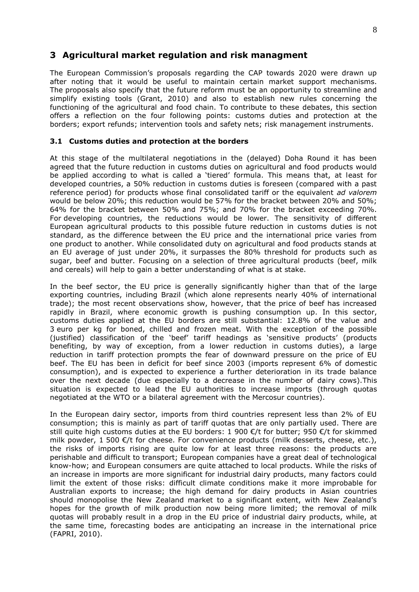# **3 Agricultural market regulation and risk managment**

The European Commission's proposals regarding the CAP towards 2020 were drawn up after noting that it would be useful to maintain certain market support mechanisms. The proposals also specify that the future reform must be an opportunity to streamline and simplify existing tools (Grant, 2010) and also to establish new rules concerning the functioning of the agricultural and food chain. To contribute to these debates, this section offers a reflection on the four following points: customs duties and protection at the borders; export refunds; intervention tools and safety nets; risk management instruments.

# **3.1 Customs duties and protection at the borders**

At this stage of the multilateral negotiations in the (delayed) Doha Round it has been agreed that the future reduction in customs duties on agricultural and food products would be applied according to what is called a 'tiered' formula. This means that, at least for developed countries, a 50% reduction in customs duties is foreseen (compared with a past reference period) for products whose final consolidated tariff or the equivalent *ad valorem* would be below 20%; this reduction would be 57% for the bracket between 20% and 50%; 64% for the bracket between 50% and 75%; and 70% for the bracket exceeding 70%. For developing countries, the reductions would be lower. The sensitivity of different European agricultural products to this possible future reduction in customs duties is not standard, as the difference between the EU price and the international price varies from one product to another. While consolidated duty on agricultural and food products stands at an EU average of just under 20%, it surpasses the 80% threshold for products such as sugar, beef and butter. Focusing on a selection of three agricultural products (beef, milk and cereals) will help to gain a better understanding of what is at stake.

In the beef sector, the EU price is generally significantly higher than that of the large exporting countries, including Brazil (which alone represents nearly 40% of international trade); the most recent observations show, however, that the price of beef has increased rapidly in Brazil, where economic growth is pushing consumption up. In this sector, customs duties applied at the EU borders are still substantial: 12.8% of the value and 3 euro per kg for boned, chilled and frozen meat. With the exception of the possible (justified) classification of the 'beef' tariff headings as 'sensitive products' (products benefiting, by way of exception, from a lower reduction in customs duties), a large reduction in tariff protection prompts the fear of downward pressure on the price of EU beef. The EU has been in deficit for beef since 2003 (imports represent 6% of domestic consumption), and is expected to experience a further deterioration in its trade balance over the next decade (due especially to a decrease in the number of dairy cows).This situation is expected to lead the EU authorities to increase imports (through quotas negotiated at the WTO or a bilateral agreement with the Mercosur countries).

In the European dairy sector, imports from third countries represent less than 2% of EU consumption; this is mainly as part of tariff quotas that are only partially used. There are still quite high customs duties at the EU borders: 1 900  $\epsilon$ /t for butter; 950  $\epsilon$ /t for skimmed milk powder, 1 500 €/t for cheese. For convenience products (milk desserts, cheese, etc.), the risks of imports rising are quite low for at least three reasons: the products are perishable and difficult to transport; European companies have a great deal of technological know-how; and European consumers are quite attached to local products. While the risks of an increase in imports are more significant for industrial dairy products, many factors could limit the extent of those risks: difficult climate conditions make it more improbable for Australian exports to increase; the high demand for dairy products in Asian countries should monopolise the New Zealand market to a significant extent, with New Zealand's hopes for the growth of milk production now being more limited; the removal of milk quotas will probably result in a drop in the EU price of industrial dairy products, while, at the same time, forecasting bodes are anticipating an increase in the international price (FAPRI, 2010).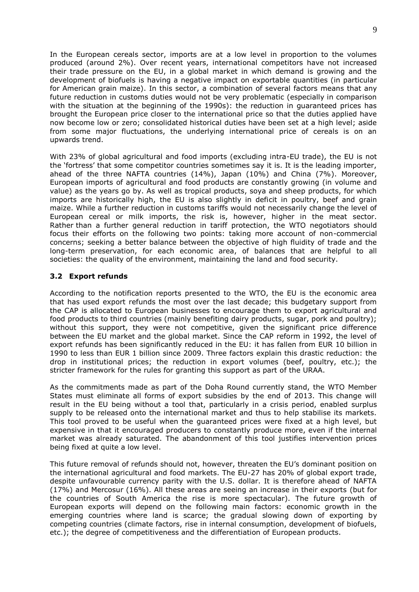In the European cereals sector, imports are at a low level in proportion to the volumes produced (around 2%). Over recent years, international competitors have not increased their trade pressure on the EU, in a global market in which demand is growing and the development of biofuels is having a negative impact on exportable quantities (in particular for American grain maize). In this sector, a combination of several factors means that any future reduction in customs duties would not be very problematic (especially in comparison with the situation at the beginning of the 1990s): the reduction in guaranteed prices has brought the European price closer to the international price so that the duties applied have now become low or zero; consolidated historical duties have been set at a high level; aside from some major fluctuations, the underlying international price of cereals is on an upwards trend.

With 23% of global agricultural and food imports (excluding intra-EU trade), the EU is not the 'fortress' that some competitor countries sometimes say it is. It is the leading importer, ahead of the three NAFTA countries (14%), Japan (10%) and China (7%). Moreover, European imports of agricultural and food products are constantly growing (in volume and value) as the years go by. As well as tropical products, soya and sheep products, for which imports are historically high, the EU is also slightly in deficit in poultry, beef and grain maize. While a further reduction in customs tariffs would not necessarily change the level of European cereal or milk imports, the risk is, however, higher in the meat sector. Rather than a further general reduction in tariff protection, the WTO negotiators should focus their efforts on the following two points: taking more account of non-commercial concerns; seeking a better balance between the objective of high fluidity of trade and the long-term preservation, for each economic area, of balances that are helpful to all societies: the quality of the environment, maintaining the land and food security.

# **3.2 Export refunds**

According to the notification reports presented to the WTO, the EU is the economic area that has used export refunds the most over the last decade; this budgetary support from the CAP is allocated to European businesses to encourage them to export agricultural and food products to third countries (mainly benefiting dairy products, sugar, pork and poultry); without this support, they were not competitive, given the significant price difference between the EU market and the global market. Since the CAP reform in 1992, the level of export refunds has been significantly reduced in the EU: it has fallen from EUR 10 billion in 1990 to less than EUR 1 billion since 2009. Three factors explain this drastic reduction: the drop in institutional prices; the reduction in export volumes (beef, poultry, etc.); the stricter framework for the rules for granting this support as part of the URAA.

As the commitments made as part of the Doha Round currently stand, the WTO Member States must eliminate all forms of export subsidies by the end of 2013. This change will result in the EU being without a tool that, particularly in a crisis period, enabled surplus supply to be released onto the international market and thus to help stabilise its markets. This tool proved to be useful when the guaranteed prices were fixed at a high level, but expensive in that it encouraged producers to constantly produce more, even if the internal market was already saturated. The abandonment of this tool justifies intervention prices being fixed at quite a low level.

This future removal of refunds should not, however, threaten the EU's dominant position on the international agricultural and food markets. The EU-27 has 20% of global export trade, despite unfavourable currency parity with the U.S. dollar. It is therefore ahead of NAFTA (17%) and Mercosur (16%). All these areas are seeing an increase in their exports (but for the countries of South America the rise is more spectacular). The future growth of European exports will depend on the following main factors: economic growth in the emerging countries where land is scarce; the gradual slowing down of exporting by competing countries (climate factors, rise in internal consumption, development of biofuels, etc.); the degree of competitiveness and the differentiation of European products.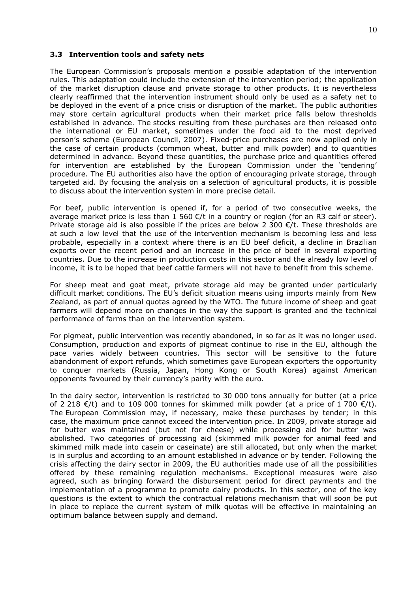#### **3.3 Intervention tools and safety nets**

The European Commission's proposals mention a possible adaptation of the intervention rules. This adaptation could include the extension of the intervention period; the application of the market disruption clause and private storage to other products. It is nevertheless clearly reaffirmed that the intervention instrument should only be used as a safety net to be deployed in the event of a price crisis or disruption of the market. The public authorities may store certain agricultural products when their market price falls below thresholds established in advance. The stocks resulting from these purchases are then released onto the international or EU market, sometimes under the food aid to the most deprived person's scheme (European Council, 2007). Fixed-price purchases are now applied only in the case of certain products (common wheat, butter and milk powder) and to quantities determined in advance. Beyond these quantities, the purchase price and quantities offered for intervention are established by the European Commission under the 'tendering' procedure. The EU authorities also have the option of encouraging private storage, through targeted aid. By focusing the analysis on a selection of agricultural products, it is possible to discuss about the intervention system in more precise detail.

For beef, public intervention is opened if, for a period of two consecutive weeks, the average market price is less than  $1\,560$   $\epsilon$ /t in a country or region (for an R3 calf or steer). Private storage aid is also possible if the prices are below 2 300  $\epsilon/t$ . These thresholds are at such a low level that the use of the intervention mechanism is becoming less and less probable, especially in a context where there is an EU beef deficit, a decline in Brazilian exports over the recent period and an increase in the price of beef in several exporting countries. Due to the increase in production costs in this sector and the already low level of income, it is to be hoped that beef cattle farmers will not have to benefit from this scheme.

For sheep meat and goat meat, private storage aid may be granted under particularly difficult market conditions. The EU's deficit situation means using imports mainly from New Zealand, as part of annual quotas agreed by the WTO. The future income of sheep and goat farmers will depend more on changes in the way the support is granted and the technical performance of farms than on the intervention system.

For pigmeat, public intervention was recently abandoned, in so far as it was no longer used. Consumption, production and exports of pigmeat continue to rise in the EU, although the pace varies widely between countries. This sector will be sensitive to the future abandonment of export refunds, which sometimes gave European exporters the opportunity to conquer markets (Russia, Japan, Hong Kong or South Korea) against American opponents favoured by their currency's parity with the euro.

In the dairy sector, intervention is restricted to 30 000 tons annually for butter (at a price of 2 218  $\epsilon$ /t) and to 109 000 tonnes for skimmed milk powder (at a price of 1 700  $\epsilon$ /t). The European Commission may, if necessary, make these purchases by tender; in this case, the maximum price cannot exceed the intervention price. In 2009, private storage aid for butter was maintained (but not for cheese) while processing aid for butter was abolished. Two categories of processing aid (skimmed milk powder for animal feed and skimmed milk made into casein or caseinate) are still allocated, but only when the market is in surplus and according to an amount established in advance or by tender. Following the crisis affecting the dairy sector in 2009, the EU authorities made use of all the possibilities offered by these remaining regulation mechanisms. Exceptional measures were also agreed, such as bringing forward the disbursement period for direct payments and the implementation of a programme to promote dairy products. In this sector, one of the key questions is the extent to which the contractual relations mechanism that will soon be put in place to replace the current system of milk quotas will be effective in maintaining an optimum balance between supply and demand.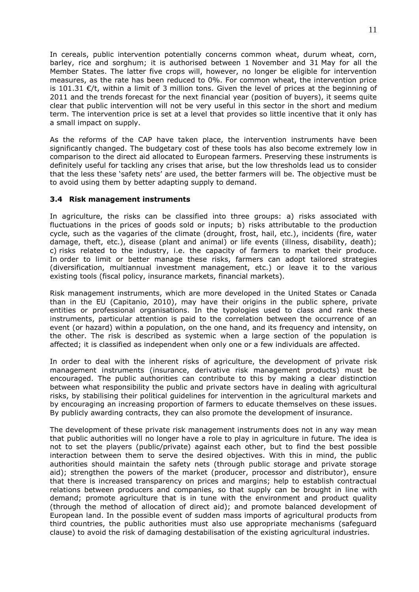In cereals, public intervention potentially concerns common wheat, durum wheat, corn, barley, rice and sorghum; it is authorised between 1 November and 31 May for all the Member States. The latter five crops will, however, no longer be eligible for intervention measures, as the rate has been reduced to 0%. For common wheat, the intervention price is 101.31  $\epsilon/t$ , within a limit of 3 million tons. Given the level of prices at the beginning of 2011 and the trends forecast for the next financial year (position of buyers), it seems quite clear that public intervention will not be very useful in this sector in the short and medium term. The intervention price is set at a level that provides so little incentive that it only has a small impact on supply.

As the reforms of the CAP have taken place, the intervention instruments have been significantly changed. The budgetary cost of these tools has also become extremely low in comparison to the direct aid allocated to European farmers. Preserving these instruments is definitely useful for tackling any crises that arise, but the low thresholds lead us to consider that the less these 'safety nets' are used, the better farmers will be. The objective must be to avoid using them by better adapting supply to demand.

# **3.4 Risk management instruments**

In agriculture, the risks can be classified into three groups: a) risks associated with fluctuations in the prices of goods sold or inputs; b) risks attributable to the production cycle, such as the vagaries of the climate (drought, frost, hail, etc.), incidents (fire, water damage, theft, etc.), disease (plant and animal) or life events (illness, disability, death); c) risks related to the industry, i.e. the capacity of farmers to market their produce. In order to limit or better manage these risks, farmers can adopt tailored strategies (diversification, multiannual investment management, etc.) or leave it to the various existing tools (fiscal policy, insurance markets, financial markets).

Risk management instruments, which are more developed in the United States or Canada than in the EU (Capitanio, 2010), may have their origins in the public sphere, private entities or professional organisations. In the typologies used to class and rank these instruments, particular attention is paid to the correlation between the occurrence of an event (or hazard) within a population, on the one hand, and its frequency and intensity, on the other. The risk is described as systemic when a large section of the population is affected; it is classified as independent when only one or a few individuals are affected.

In order to deal with the inherent risks of agriculture, the development of private risk management instruments (insurance, derivative risk management products) must be encouraged. The public authorities can contribute to this by making a clear distinction between what responsibility the public and private sectors have in dealing with agricultural risks, by stabilising their political guidelines for intervention in the agricultural markets and by encouraging an increasing proportion of farmers to educate themselves on these issues. By publicly awarding contracts, they can also promote the development of insurance.

The development of these private risk management instruments does not in any way mean that public authorities will no longer have a role to play in agriculture in future. The idea is not to set the players (public/private) against each other, but to find the best possible interaction between them to serve the desired objectives. With this in mind, the public authorities should maintain the safety nets (through public storage and private storage aid); strengthen the powers of the market (producer, processor and distributor), ensure that there is increased transparency on prices and margins; help to establish contractual relations between producers and companies, so that supply can be brought in line with demand; promote agriculture that is in tune with the environment and product quality (through the method of allocation of direct aid); and promote balanced development of European land. In the possible event of sudden mass imports of agricultural products from third countries, the public authorities must also use appropriate mechanisms (safeguard clause) to avoid the risk of damaging destabilisation of the existing agricultural industries.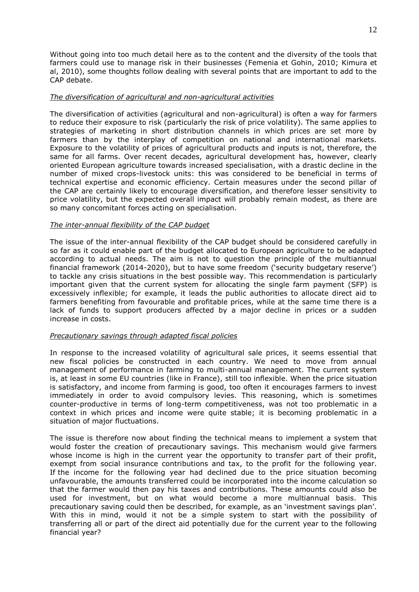Without going into too much detail here as to the content and the diversity of the tools that farmers could use to manage risk in their businesses (Femenia et Gohin, 2010; Kimura et al, 2010), some thoughts follow dealing with several points that are important to add to the CAP debate.

# *The diversification of agricultural and non-agricultural activities*

The diversification of activities (agricultural and non-agricultural) is often a way for farmers to reduce their exposure to risk (particularly the risk of price volatility). The same applies to strategies of marketing in short distribution channels in which prices are set more by farmers than by the interplay of competition on national and international markets. Exposure to the volatility of prices of agricultural products and inputs is not, therefore, the same for all farms. Over recent decades, agricultural development has, however, clearly oriented European agriculture towards increased specialisation, with a drastic decline in the number of mixed crops-livestock units: this was considered to be beneficial in terms of technical expertise and economic efficiency. Certain measures under the second pillar of the CAP are certainly likely to encourage diversification, and therefore lesser sensitivity to price volatility, but the expected overall impact will probably remain modest, as there are so many concomitant forces acting on specialisation.

# *The inter-annual flexibility of the CAP budget*

The issue of the inter-annual flexibility of the CAP budget should be considered carefully in so far as it could enable part of the budget allocated to European agriculture to be adapted according to actual needs. The aim is not to question the principle of the multiannual financial framework (2014-2020), but to have some freedom ('security budgetary reserve') to tackle any crisis situations in the best possible way. This recommendation is particularly important given that the current system for allocating the single farm payment (SFP) is excessively inflexible; for example, it leads the public authorities to allocate direct aid to farmers benefiting from favourable and profitable prices, while at the same time there is a lack of funds to support producers affected by a major decline in prices or a sudden increase in costs.

# *Precautionary savings through adapted fiscal policies*

In response to the increased volatility of agricultural sale prices, it seems essential that new fiscal policies be constructed in each country. We need to move from annual management of performance in farming to multi-annual management. The current system is, at least in some EU countries (like in France), still too inflexible. When the price situation is satisfactory, and income from farming is good, too often it encourages farmers to invest immediately in order to avoid compulsory levies. This reasoning, which is sometimes counter-productive in terms of long-term competitiveness, was not too problematic in a context in which prices and income were quite stable; it is becoming problematic in a situation of major fluctuations.

The issue is therefore now about finding the technical means to implement a system that would foster the creation of precautionary savings. This mechanism would give farmers whose income is high in the current year the opportunity to transfer part of their profit, exempt from social insurance contributions and tax, to the profit for the following year. If the income for the following year had declined due to the price situation becoming unfavourable, the amounts transferred could be incorporated into the income calculation so that the farmer would then pay his taxes and contributions. These amounts could also be used for investment, but on what would become a more multiannual basis. This precautionary saving could then be described, for example, as an 'investment savings plan'. With this in mind, would it not be a simple system to start with the possibility of transferring all or part of the direct aid potentially due for the current year to the following financial year?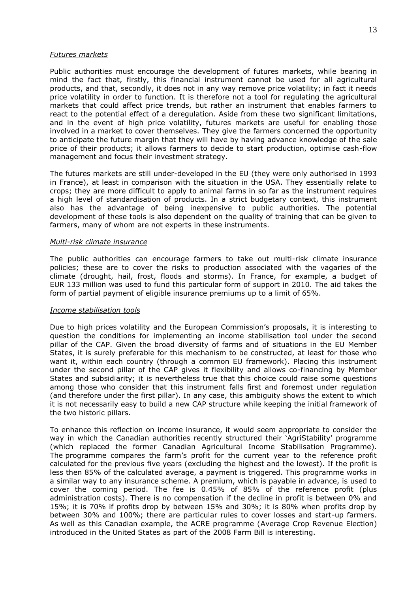#### *Futures markets*

Public authorities must encourage the development of futures markets, while bearing in mind the fact that, firstly, this financial instrument cannot be used for all agricultural products, and that, secondly, it does not in any way remove price volatility; in fact it needs price volatility in order to function. It is therefore not a tool for regulating the agricultural markets that could affect price trends, but rather an instrument that enables farmers to react to the potential effect of a deregulation. Aside from these two significant limitations, and in the event of high price volatility, futures markets are useful for enabling those involved in a market to cover themselves. They give the farmers concerned the opportunity to anticipate the future margin that they will have by having advance knowledge of the sale price of their products; it allows farmers to decide to start production, optimise cash-flow management and focus their investment strategy.

The futures markets are still under-developed in the EU (they were only authorised in 1993 in France), at least in comparison with the situation in the USA. They essentially relate to crops; they are more difficult to apply to animal farms in so far as the instrument requires a high level of standardisation of products. In a strict budgetary context, this instrument also has the advantage of being inexpensive to public authorities. The potential development of these tools is also dependent on the quality of training that can be given to farmers, many of whom are not experts in these instruments.

#### *Multi-risk climate insurance*

The public authorities can encourage farmers to take out multi-risk climate insurance policies; these are to cover the risks to production associated with the vagaries of the climate (drought, hail, frost, floods and storms). In France, for example, a budget of EUR 133 million was used to fund this particular form of support in 2010. The aid takes the form of partial payment of eligible insurance premiums up to a limit of 65%.

#### *Income stabilisation tools*

Due to high prices volatility and the European Commission's proposals, it is interesting to question the conditions for implementing an income stabilisation tool under the second pillar of the CAP. Given the broad diversity of farms and of situations in the EU Member States, it is surely preferable for this mechanism to be constructed, at least for those who want it, within each country (through a common EU framework). Placing this instrument under the second pillar of the CAP gives it flexibility and allows co-financing by Member States and subsidiarity; it is nevertheless true that this choice could raise some questions among those who consider that this instrument falls first and foremost under regulation (and therefore under the first pillar). In any case, this ambiguity shows the extent to which it is not necessarily easy to build a new CAP structure while keeping the initial framework of the two historic pillars.

To enhance this reflection on income insurance, it would seem appropriate to consider the way in which the Canadian authorities recently structured their 'AgriStability' programme (which replaced the former Canadian Agricultural Income Stabilisation Programme). The programme compares the farm's profit for the current year to the reference profit calculated for the previous five years (excluding the highest and the lowest). If the profit is less then 85% of the calculated average, a payment is triggered. This programme works in a similar way to any insurance scheme. A premium, which is payable in advance, is used to cover the coming period. The fee is 0.45% of 85% of the reference profit (plus administration costs). There is no compensation if the decline in profit is between 0% and 15%; it is 70% if profits drop by between 15% and 30%; it is 80% when profits drop by between 30% and 100%; there are particular rules to cover losses and start-up farmers. As well as this Canadian example, the ACRE programme (Average Crop Revenue Election) introduced in the United States as part of the 2008 Farm Bill is interesting.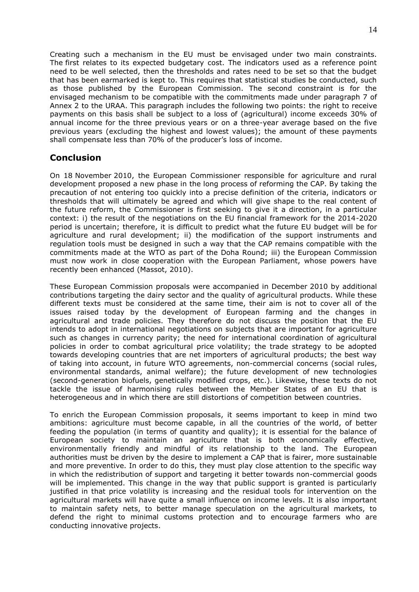Creating such a mechanism in the EU must be envisaged under two main constraints. The first relates to its expected budgetary cost. The indicators used as a reference point need to be well selected, then the thresholds and rates need to be set so that the budget that has been earmarked is kept to. This requires that statistical studies be conducted, such as those published by the European Commission. The second constraint is for the envisaged mechanism to be compatible with the commitments made under paragraph 7 of Annex 2 to the URAA. This paragraph includes the following two points: the right to receive payments on this basis shall be subject to a loss of (agricultural) income exceeds 30% of annual income for the three previous years or on a three-year average based on the five previous years (excluding the highest and lowest values); the amount of these payments shall compensate less than 70% of the producer's loss of income.

# **Conclusion**

On 18 November 2010, the European Commissioner responsible for agriculture and rural development proposed a new phase in the long process of reforming the CAP. By taking the precaution of not entering too quickly into a precise definition of the criteria, indicators or thresholds that will ultimately be agreed and which will give shape to the real content of the future reform, the Commissioner is first seeking to give it a direction, in a particular context: i) the result of the negotiations on the EU financial framework for the 2014-2020 period is uncertain; therefore, it is difficult to predict what the future EU budget will be for agriculture and rural development; ii) the modification of the support instruments and regulation tools must be designed in such a way that the CAP remains compatible with the commitments made at the WTO as part of the Doha Round; iii) the European Commission must now work in close cooperation with the European Parliament, whose powers have recently been enhanced (Massot, 2010).

These European Commission proposals were accompanied in December 2010 by additional contributions targeting the dairy sector and the quality of agricultural products. While these different texts must be considered at the same time, their aim is not to cover all of the issues raised today by the development of European farming and the changes in agricultural and trade policies. They therefore do not discuss the position that the EU intends to adopt in international negotiations on subjects that are important for agriculture such as changes in currency parity; the need for international coordination of agricultural policies in order to combat agricultural price volatility; the trade strategy to be adopted towards developing countries that are net importers of agricultural products; the best way of taking into account, in future WTO agreements, non-commercial concerns (social rules, environmental standards, animal welfare); the future development of new technologies (second-generation biofuels, genetically modified crops, etc.). Likewise, these texts do not tackle the issue of harmonising rules between the Member States of an EU that is heterogeneous and in which there are still distortions of competition between countries.

To enrich the European Commission proposals, it seems important to keep in mind two ambitions: agriculture must become capable, in all the countries of the world, of better feeding the population (in terms of quantity and quality); it is essential for the balance of European society to maintain an agriculture that is both economically effective, environmentally friendly and mindful of its relationship to the land. The European authorities must be driven by the desire to implement a CAP that is fairer, more sustainable and more preventive. In order to do this, they must play close attention to the specific way in which the redistribution of support and targeting it better towards non-commercial goods will be implemented. This change in the way that public support is granted is particularly justified in that price volatility is increasing and the residual tools for intervention on the agricultural markets will have quite a small influence on income levels. It is also important to maintain safety nets, to better manage speculation on the agricultural markets, to defend the right to minimal customs protection and to encourage farmers who are conducting innovative projects.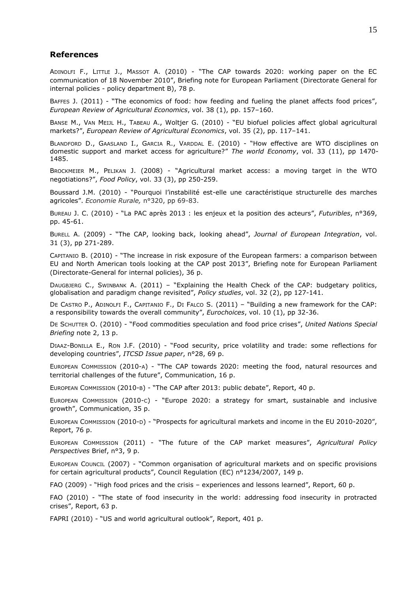# **References**

ADINOLFI F., LITTLE J., MASSOT A. (2010) - "The CAP towards 2020: working paper on the EC communication of 18 November 2010", Briefing note for European Parliament (Directorate General for internal policies - policy department B), 78 p.

BAFFES J. (2011) - "The economics of food: how feeding and fueling the planet affects food prices", *European Review of Agricultural Economics*, vol. 38 (1), pp. 157–160.

BANSE M., VAN MEIJL H., TABEAU A., Woltjer G. (2010) - "EU biofuel policies affect global agricultural markets?", *European Review of Agricultural Economics*, vol. 35 (2), pp. 117–141.

BLANDFORD D., GAASLAND I., GARCIA R., VARDDAL E. (2010) - "How effective are WTO disciplines on domestic support and market access for agriculture?" *The world Economy*, vol. 33 (11), pp 1470- 1485.

BROCKMEIER M., PELIKAN J. (2008) - "Agricultural market access: a moving target in the WTO negotiations?", *Food Policy*, vol. 33 (3), pp 250-259.

Boussard J.M. (2010) - "Pourquoi l'instabilité est-elle une caractéristique structurelle des marches agricoles". *Economie Rurale,* n°320, pp 69-83.

BUREAU J. C. (2010) - "La PAC après 2013 : les enjeux et la position des acteurs", *Futuribles*, n°369, pp. 45-61.

BURELL A. (2009) - "The CAP, looking back, looking ahead", *Journal of European Integration*, vol. 31 (3), pp 271-289.

CAPITANIO B. (2010) - "The increase in risk exposure of the European farmers: a comparison between EU and North American tools looking at the CAP post 2013", Briefing note for European Parliament (Directorate-General for internal policies), 36 p.

DAUGBJERG C., SWINBANK A. (2011) – "Explaining the Health Check of the CAP: budgetary politics, globalisation and paradigm change revisited", *Policy studies*, vol. 32 (2), pp 127-141.

DE CASTRO P., ADINOLFI F., CAPITANIO F., DI FALCO S. (2011) – "Building a new framework for the CAP: a responsibility towards the overall community", *Eurochoices*, vol. 10 (1), pp 32-36.

DE SCHUTTER O. (2010) - "Food commodities speculation and food price crises", *United Nations Special Briefing* note 2, 13 p.

DIAAZ-BONILLA E., RON J.F. (2010) - "Food security, price volatility and trade: some reflections for developing countries", *ITCSD Issue paper*, n°28, 69 p.

EUROPEAN COMMISSION (2010-A) - "The CAP towards 2020: meeting the food, natural resources and territorial challenges of the future", Communication, 16 p.

EUROPEAN COMMISSION (2010-B) - "The CAP after 2013: public debate", Report, 40 p.

EUROPEAN COMMISSION (2010-C) - "Europe 2020: a strategy for smart, sustainable and inclusive growth", Communication, 35 p.

EUROPEAN COMMISSION (2010-D) - "Prospects for agricultural markets and income in the EU 2010-2020", Report, 76 p.

EUROPEAN COMMISSION (2011) - "The future of the CAP market measures", *Agricultural Policy Perspectives* Brief, n°3, 9 p.

EUROPEAN COUNCIL (2007) - "Common organisation of agricultural markets and on specific provisions for certain agricultural products", Council Regulation (EC) n°1234/2007, 149 p.

FAO (2009) - "High food prices and the crisis – experiences and lessons learned", Report, 60 p.

FAO (2010) - "The state of food insecurity in the world: addressing food insecurity in protracted crises", Report, 63 p.

FAPRI (2010) - "US and world agricultural outlook", Report, 401 p.